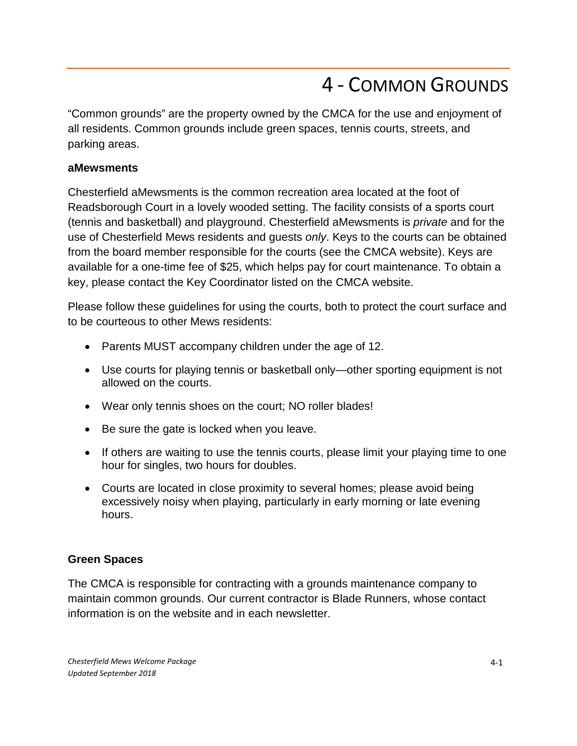# 4 - COMMON GROUNDS

"Common grounds" are the property owned by the CMCA for the use and enjoyment of all residents. Common grounds include green spaces, tennis courts, streets, and parking areas.

#### **aMewsments**

Chesterfield aMewsments is the common recreation area located at the foot of Readsborough Court in a lovely wooded setting. The facility consists of a sports court (tennis and basketball) and playground. Chesterfield aMewsments is *private* and for the use of Chesterfield Mews residents and guests *only*. Keys to the courts can be obtained from the board member responsible for the courts (see the CMCA website). Keys are available for a one-time fee of \$25, which helps pay for court maintenance. To obtain a key, please contact the Key Coordinator listed on the CMCA website.

Please follow these guidelines for using the courts, both to protect the court surface and to be courteous to other Mews residents:

- Parents MUST accompany children under the age of 12.
- Use courts for playing tennis or basketball only—other sporting equipment is not allowed on the courts.
- Wear only tennis shoes on the court; NO roller blades!
- Be sure the gate is locked when you leave.
- If others are waiting to use the tennis courts, please limit your playing time to one hour for singles, two hours for doubles.
- Courts are located in close proximity to several homes; please avoid being excessively noisy when playing, particularly in early morning or late evening hours.

### **Green Spaces**

The CMCA is responsible for contracting with a grounds maintenance company to maintain common grounds. Our current contractor is Blade Runners, whose contact information is on the website and in each newsletter.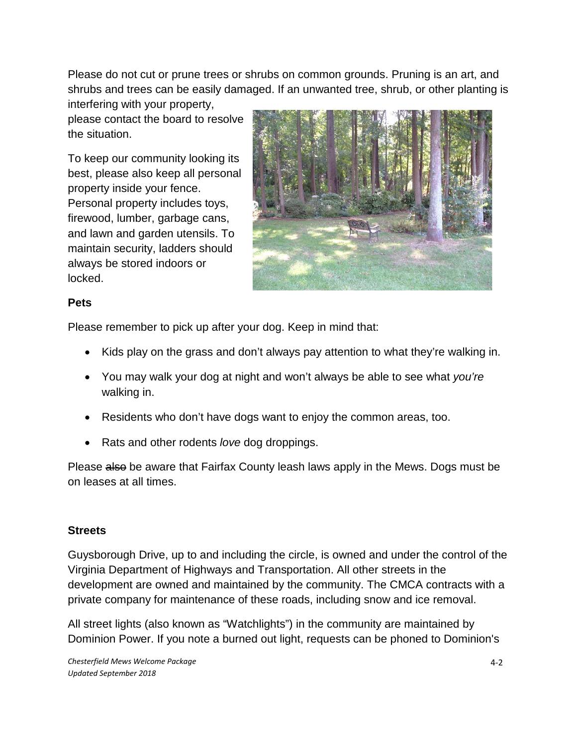Please do not cut or prune trees or shrubs on common grounds. Pruning is an art, and shrubs and trees can be easily damaged. If an unwanted tree, shrub, or other planting is interfering with your property,

please contact the board to resolve the situation.

To keep our community looking its best, please also keep all personal property inside your fence. Personal property includes toys, firewood, lumber, garbage cans, and lawn and garden utensils. To maintain security, ladders should always be stored indoors or locked.



### **Pets**

Please remember to pick up after your dog. Keep in mind that:

- Kids play on the grass and don't always pay attention to what they're walking in.
- You may walk your dog at night and won't always be able to see what *you're* walking in.
- Residents who don't have dogs want to enjoy the common areas, too.
- Rats and other rodents *love* dog droppings.

Please also be aware that Fairfax County leash laws apply in the Mews. Dogs must be on leases at all times.

### **Streets**

Guysborough Drive, up to and including the circle, is owned and under the control of the Virginia Department of Highways and Transportation. All other streets in the development are owned and maintained by the community. The CMCA contracts with a private company for maintenance of these roads, including snow and ice removal.

All street lights (also known as "Watchlights") in the community are maintained by Dominion Power. If you note a burned out light, requests can be phoned to Dominion's